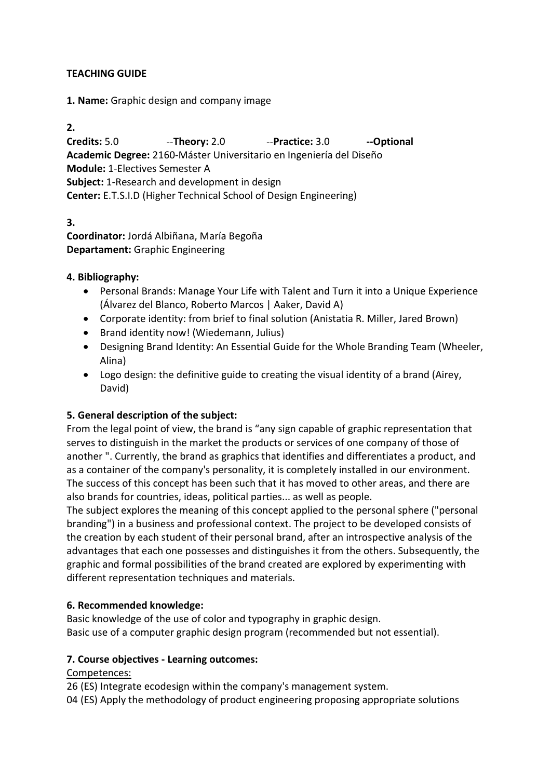# TEACHING GUIDE

1. Name: Graphic design and company image

2.

Credits: 5.0 --Theory: 2.0 --Practice: 3.0 --Optional Academic Degree: 2160-Máster Universitario en Ingeniería del Diseño Module: 1-Electives Semester A Subject: 1-Research and development in design Center: E.T.S.I.D (Higher Technical School of Design Engineering)

3. Coordinator: Jordá Albiñana, María Begoña Departament: Graphic Engineering

## 4. Bibliography:

- Personal Brands: Manage Your Life with Talent and Turn it into a Unique Experience (Álvarez del Blanco, Roberto Marcos | Aaker, David A)
- Corporate identity: from brief to final solution (Anistatia R. Miller, Jared Brown)
- Brand identity now! (Wiedemann, Julius)
- Designing Brand Identity: An Essential Guide for the Whole Branding Team (Wheeler, Alina)
- Logo design: the definitive guide to creating the visual identity of a brand (Airey, David)

## 5. General description of the subject:

From the legal point of view, the brand is "any sign capable of graphic representation that serves to distinguish in the market the products or services of one company of those of another ". Currently, the brand as graphics that identifies and differentiates a product, and as a container of the company's personality, it is completely installed in our environment. The success of this concept has been such that it has moved to other areas, and there are also brands for countries, ideas, political parties... as well as people.

The subject explores the meaning of this concept applied to the personal sphere ("personal branding") in a business and professional context. The project to be developed consists of the creation by each student of their personal brand, after an introspective analysis of the advantages that each one possesses and distinguishes it from the others. Subsequently, the graphic and formal possibilities of the brand created are explored by experimenting with different representation techniques and materials.

## 6. Recommended knowledge:

Basic knowledge of the use of color and typography in graphic design. Basic use of a computer graphic design program (recommended but not essential).

## 7. Course objectives - Learning outcomes:

## Competences:

26 (ES) Integrate ecodesign within the company's management system.

04 (ES) Apply the methodology of product engineering proposing appropriate solutions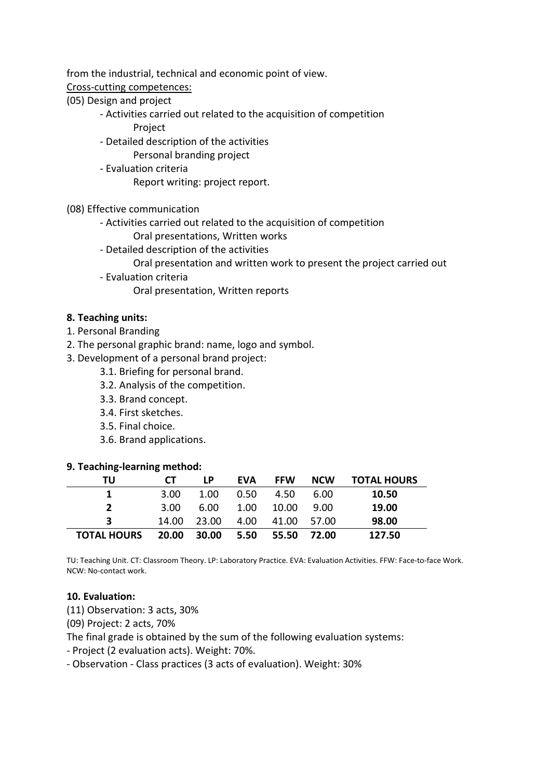from the industrial, technical and economic point of view.

#### Cross-cutting competences:

- (05) Design and project
	- Activities carried out related to the acquisition of competition
		- Project
	- Detailed description of the activities
		- Personal branding project
	- Evaluation criteria
		- Report writing: project report.

## (08) Effective communication

- Activities carried out related to the acquisition of competition
	- Oral presentations, Written works
- Detailed description of the activities
	- Oral presentation and written work to present the project carried out
- Evaluation criteria
	- Oral presentation, Written reports

# 8. Teaching units:

- 1. Personal Branding
- 2. The personal graphic brand: name, logo and symbol.
- 3. Development of a personal brand project:
	- 3.1. Briefing for personal brand.
	- 3.2. Analysis of the competition.
	- 3.3. Brand concept.
	- 3.4. First sketches.
	- 3.5. Final choice.
	- 3.6. Brand applications.

## 9. Teaching-learning method:

| TU                 | CT.   | I P   | EVA  | <b>FFW</b> | <b>NCW</b> | <b>TOTAL HOURS</b> |
|--------------------|-------|-------|------|------------|------------|--------------------|
|                    | 3.00  | 1.00  | 0.50 | 4.50       | 6.00       | 10.50              |
| $\mathcal{P}$      | 3.00  | 6.00  | 1.00 | 10.00      | -9.00      | 19.00              |
| 3                  | 14.00 | 23.00 | 4.00 | 41.00      | 57.00      | 98.00              |
| <b>TOTAL HOURS</b> | 20.00 | 30.00 | 5.50 | 55.50      | 72.00      | 127.50             |

TU: Teaching Unit. CT: Classroom Theory. LP: Laboratory Practice. EVA: Evaluation Activities. FFW: Face-to-face Work. NCW: No-contact work.

## 10. Evaluation:

(11) Observation: 3 acts, 30%

(09) Project: 2 acts, 70%

The final grade is obtained by the sum of the following evaluation systems:

- Project (2 evaluation acts). Weight: 70%.

- Observation - Class practices (3 acts of evaluation). Weight: 30%